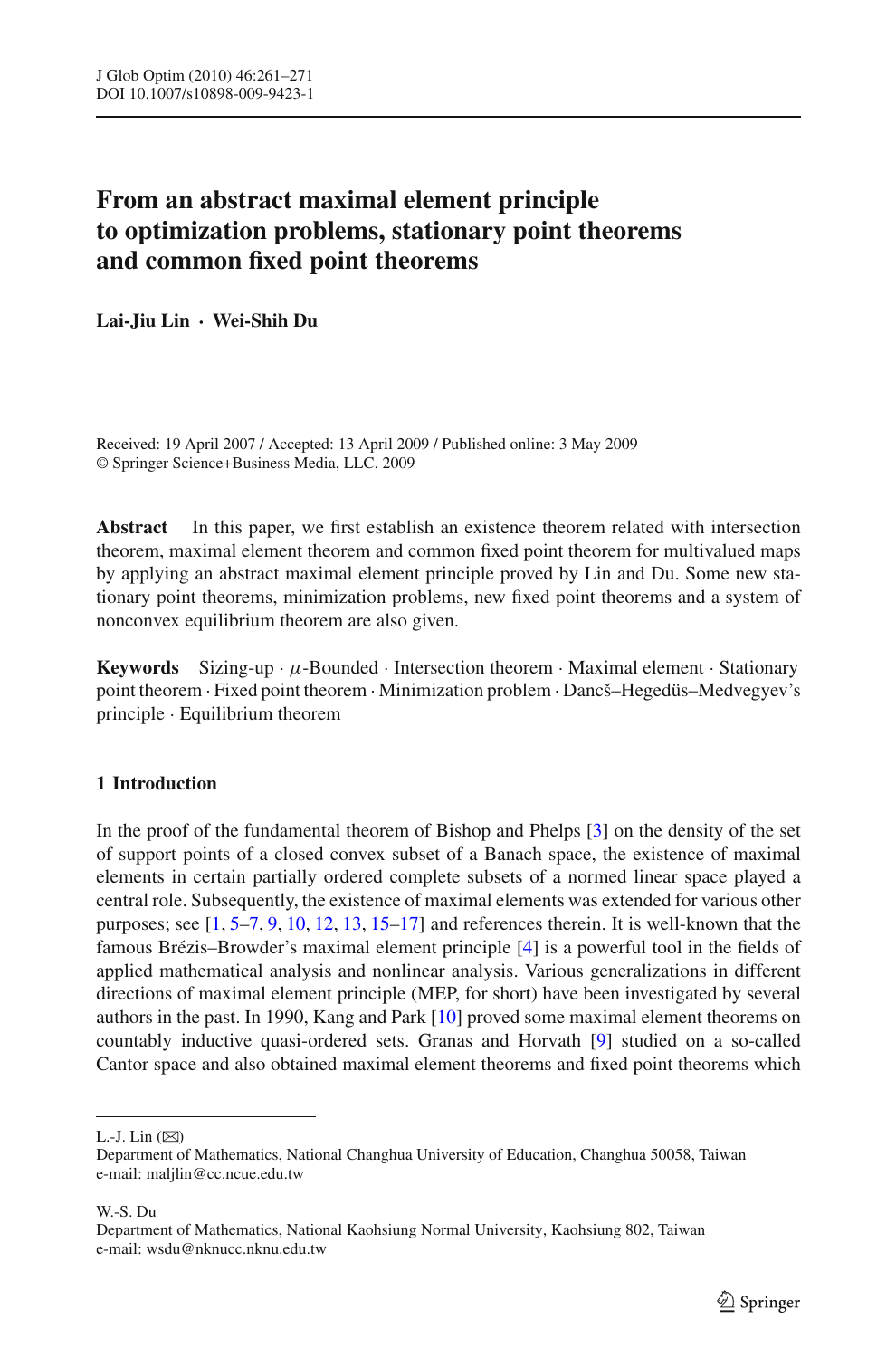# **From an abstract maximal element principle to optimization problems, stationary point theorems and common fixed point theorems**

**Lai-Jiu Lin · Wei-Shih Du**

Received: 19 April 2007 / Accepted: 13 April 2009 / Published online: 3 May 2009 © Springer Science+Business Media, LLC. 2009

**Abstract** In this paper, we first establish an existence theorem related with intersection theorem, maximal element theorem and common fixed point theorem for multivalued maps by applying an abstract maximal element principle proved by Lin and Du. Some new stationary point theorems, minimization problems, new fixed point theorems and a system of nonconvex equilibrium theorem are also given.

**Keywords** Sizing-up  $\cdot \mu$ -Bounded  $\cdot$  Intersection theorem  $\cdot$  Maximal element  $\cdot$  Stationary point theorem · Fixed point theorem · Minimization problem · Dancš–Hegedüs–Medvegyev's principle · Equilibrium theorem

## **1 Introduction**

In the proof of the fundamental theorem of Bishop and Phelps [\[3\]](#page-10-0) on the density of the set of support points of a closed convex subset of a Banach space, the existence of maximal elements in certain partially ordered complete subsets of a normed linear space played a central role. Subsequently, the existence of maximal elements was extended for various other purposes; see  $[1, 5-7, 9, 10, 12, 13, 15-17]$  $[1, 5-7, 9, 10, 12, 13, 15-17]$  $[1, 5-7, 9, 10, 12, 13, 15-17]$  $[1, 5-7, 9, 10, 12, 13, 15-17]$  $[1, 5-7, 9, 10, 12, 13, 15-17]$  $[1, 5-7, 9, 10, 12, 13, 15-17]$  $[1, 5-7, 9, 10, 12, 13, 15-17]$  $[1, 5-7, 9, 10, 12, 13, 15-17]$  $[1, 5-7, 9, 10, 12, 13, 15-17]$  $[1, 5-7, 9, 10, 12, 13, 15-17]$  $[1, 5-7, 9, 10, 12, 13, 15-17]$  $[1, 5-7, 9, 10, 12, 13, 15-17]$  $[1, 5-7, 9, 10, 12, 13, 15-17]$  $[1, 5-7, 9, 10, 12, 13, 15-17]$  and references therein. It is well-known that the famous Brézis–Browder's maximal element principle [\[4](#page-10-10)] is a powerful tool in the fields of applied mathematical analysis and nonlinear analysis. Various generalizations in different directions of maximal element principle (MEP, for short) have been investigated by several authors in the past. In 1990, Kang and Park [\[10\]](#page-10-5) proved some maximal element theorems on countably inductive quasi-ordered sets. Granas and Horvath [\[9](#page-10-4)] studied on a so-called Cantor space and also obtained maximal element theorems and fixed point theorems which

W.-S. Du

L.-J. Lin  $(\boxtimes)$ 

Department of Mathematics, National Changhua University of Education, Changhua 50058, Taiwan e-mail: maljlin@cc.ncue.edu.tw

Department of Mathematics, National Kaohsiung Normal University, Kaohsiung 802, Taiwan e-mail: wsdu@nknucc.nknu.edu.tw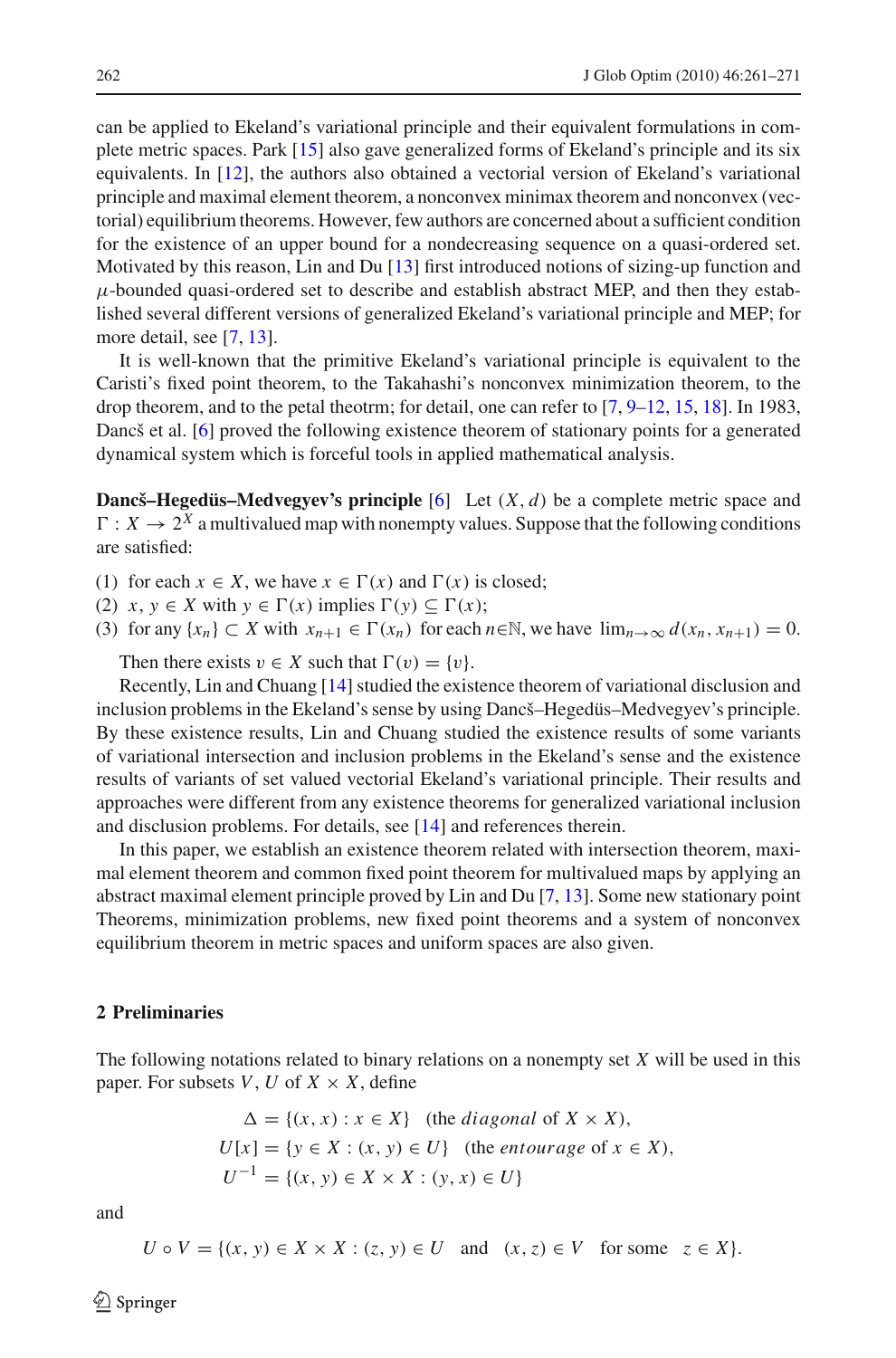can be applied to Ekeland's variational principle and their equivalent formulations in complete metric spaces. Park [\[15\]](#page-10-8) also gave generalized forms of Ekeland's principle and its six equivalents. In [\[12](#page-10-6)], the authors also obtained a vectorial version of Ekeland's variational principle and maximal element theorem, a nonconvex minimax theorem and nonconvex (vectorial) equilibrium theorems. However, few authors are concerned about a sufficient condition for the existence of an upper bound for a nondecreasing sequence on a quasi-ordered set. Motivated by this reason, Lin and Du [\[13\]](#page-10-7) first introduced notions of sizing-up function and  $\mu$ -bounded quasi-ordered set to describe and establish abstract MEP, and then they established several different versions of generalized Ekeland's variational principle and MEP; for more detail, see [\[7](#page-10-3), [13\]](#page-10-7).

It is well-known that the primitive Ekeland's variational principle is equivalent to the Caristi's fixed point theorem, to the Takahashi's nonconvex minimization theorem, to the drop theorem, and to the petal theotrm; for detail, one can refer to [\[7](#page-10-3), [9](#page-10-4)[–12](#page-10-6), [15](#page-10-8), [18](#page-10-11)]. In 1983, Dancš et al. [\[6](#page-10-12)] proved the following existence theorem of stationary points for a generated dynamical system which is forceful tools in applied mathematical analysis.

**Dancš–Hegedüs–Medvegyev's principle** [\[6](#page-10-12)] Let (*X*, *d*) be a complete metric space and  $\Gamma: X \to 2^X$  a multivalued map with nonempty values. Suppose that the following conditions are satisfied:

- (1) for each  $x \in X$ , we have  $x \in \Gamma(x)$  and  $\Gamma(x)$  is closed;
- (2)  $x, y \in X$  with  $y \in \Gamma(x)$  implies  $\Gamma(y) \subseteq \Gamma(x)$ ;
- (3) for any  $\{x_n\} \subset X$  with  $x_{n+1} \in \Gamma(x_n)$  for each  $n \in \mathbb{N}$ , we have  $\lim_{n \to \infty} d(x_n, x_{n+1}) = 0$ .

Then there exists  $v \in X$  such that  $\Gamma(v) = \{v\}.$ 

Recently, Lin and Chuang [\[14](#page-10-13)] studied the existence theorem of variational disclusion and inclusion problems in the Ekeland's sense by using Dancš–Hegedüs–Medvegyev's principle. By these existence results, Lin and Chuang studied the existence results of some variants of variational intersection and inclusion problems in the Ekeland's sense and the existence results of variants of set valued vectorial Ekeland's variational principle. Their results and approaches were different from any existence theorems for generalized variational inclusion and disclusion problems. For details, see [\[14\]](#page-10-13) and references therein.

In this paper, we establish an existence theorem related with intersection theorem, maximal element theorem and common fixed point theorem for multivalued maps by applying an abstract maximal element principle proved by Lin and Du [\[7](#page-10-3), [13](#page-10-7)]. Some new stationary point Theorems, minimization problems, new fixed point theorems and a system of nonconvex equilibrium theorem in metric spaces and uniform spaces are also given.

### **2 Preliminaries**

The following notations related to binary relations on a nonempty set *X* will be used in this paper. For subsets  $V, U$  of  $X \times X$ , define

$$
\Delta = \{(x, x) : x \in X\} \quad \text{(the diagonal of } X \times X),
$$
\n
$$
U[x] = \{y \in X : (x, y) \in U\} \quad \text{(the entourage of } x \in X),
$$
\n
$$
U^{-1} = \{(x, y) \in X \times X : (y, x) \in U\}
$$

and

$$
U \circ V = \{(x, y) \in X \times X : (z, y) \in U \text{ and } (x, z) \in V \text{ for some } z \in X\}.
$$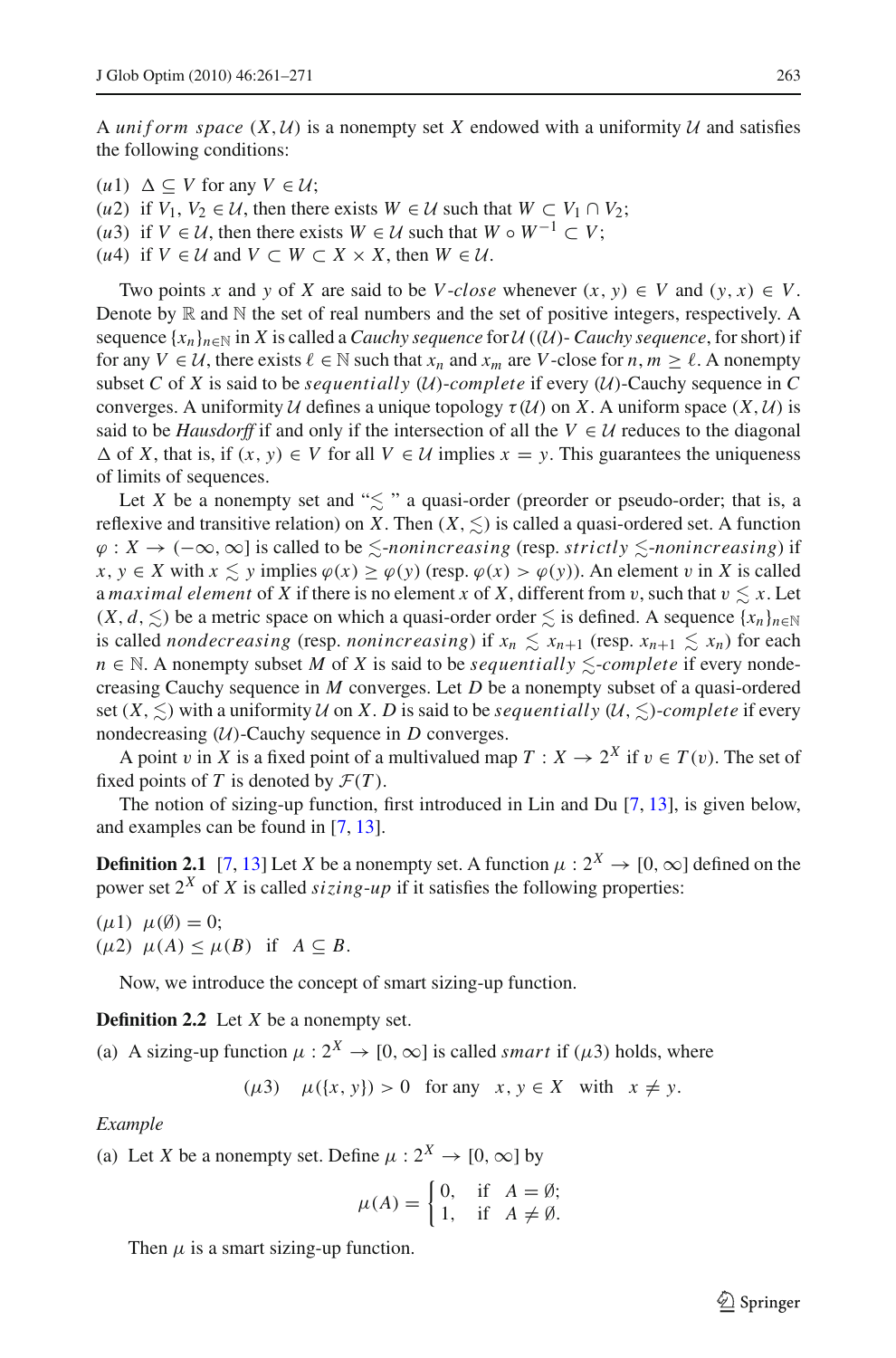A *uniform space*  $(X, U)$  is a nonempty set X endowed with a uniformity U and satisfies the following conditions:

 $(u1) \Delta \subseteq V$  for any  $V \in U$ ;

- (*u*2) if  $V_1, V_2 \in \mathcal{U}$ , then there exists  $W \in \mathcal{U}$  such that  $W \subset V_1 \cap V_2$ ;
- (*u*3) if  $V \in \mathcal{U}$ , then there exists  $W \in \mathcal{U}$  such that  $W \circ W^{-1} \subset V$ ;
- $(u4)$  if *V* ∈ *U* and *V* ⊂ *W* ⊂ *X* × *X*, then *W* ∈ *U*.

Two points *x* and *y* of *X* are said to be *V*-*close* whenever  $(x, y) \in V$  and  $(y, x) \in V$ . Denote by  $\mathbb R$  and  $\mathbb N$  the set of real numbers and the set of positive integers, respectively. A sequence  $\{x_n\}_{n\in\mathbb{N}}$  in *X* is called a *Cauchy sequence* for *U* ((*U*)- *Cauchy sequence*, for short) if for any  $V \in \mathcal{U}$ , there exists  $\ell \in \mathbb{N}$  such that  $x_n$  and  $x_m$  are *V*-close for  $n, m \geq \ell$ . A nonempty subset *C* of *X* is said to be *sequentially* (*U*)-*complete* if every (*U*)-Cauchy sequence in *C* converges. A uniformity *U* defines a unique topology  $\tau(\mathcal{U})$  on *X*. A uniform space  $(X, \mathcal{U})$  is said to be *Hausdorff* if and only if the intersection of all the  $V \in U$  reduces to the diagonal  $\Delta$  of *X*, that is, if  $(x, y) \in V$  for all  $V \in U$  implies  $x = y$ . This guarantees the uniqueness of limits of sequences.

Let *X* be a nonempty set and " $\leq$ " a quasi-order (preorder or pseudo-order; that is, a reflexive and transitive relation) on *X*. Then  $(X, \leq)$  is called a quasi-ordered set. A function ϕ : *X* → (−∞,∞] is called to be -*nonincreasing* (resp. *strictly* -*nonincreasing*) if *x*, *y* ∈ *X* with *x*  $\leq$  *y* implies  $\varphi$ (*x*)  $\geq \varphi$ (*y*) (resp.  $\varphi$ (*x*)  $> \varphi$ (*y*)). An element *v* in *X* is called a *maximal element* of *X* if there is no element *x* of *X*, different from *v*, such that  $v \leq x$ . Let  $(X, d, \leq)$  be a metric space on which a quasi-order order  $\leq$  is defined. A sequence  $\{x_n\}_{n\in\mathbb{N}}$ is called *nondecreasing* (resp. *nonincreasing*) if  $x_n \leq x_{n+1}$  (resp.  $x_{n+1} \leq x_n$ ) for each *n* ∈ N. A nonempty subset *M* of *X* is said to be *sequentially*  $\le$ -*complete* if every nondecreasing Cauchy sequence in *M* converges. Let *D* be a nonempty subset of a quasi-ordered set  $(X, \leq)$  with a uniformity *U* on *X*. *D* is said to be *sequentially*  $(U, \leq)$ *-complete* if every nondecreasing  $(U)$ -Cauchy sequence in *D* converges.

A point v in *X* is a fixed point of a multivalued map  $T : X \to 2^X$  if  $v \in T(v)$ . The set of fixed points of *T* is denoted by  $\mathcal{F}(T)$ .

The notion of sizing-up function, first introduced in Lin and Du [\[7,](#page-10-3) [13\]](#page-10-7), is given below, and examples can be found in [\[7](#page-10-3), [13\]](#page-10-7).

**Definition 2.1** [\[7](#page-10-3), [13](#page-10-7)] Let *X* be a nonempty set. A function  $\mu : 2^X \to [0, \infty]$  defined on the power set  $2^X$  of X is called *sizing-up* if it satisfies the following properties:

 $(\mu 1)$   $\mu(\emptyset) = 0;$  $(\mu 2)$   $\mu(A) \leq \mu(B)$  if  $A \subseteq B$ .

Now, we introduce the concept of smart sizing-up function.

**Definition 2.2** Let *X* be a nonempty set.

(a) A sizing-up function  $\mu: 2^X \to [0, \infty]$  is called *smart* if ( $\mu$ 3) holds, where

 $(\mu 3)$   $\mu({x, y}) > 0$  for any  $x, y \in X$  with  $x \neq y$ .

*Example*

(a) Let *X* be a nonempty set. Define  $\mu : 2^X \to [0, \infty]$  by

$$
\mu(A) = \begin{cases} 0, & \text{if } A = \emptyset; \\ 1, & \text{if } A \neq \emptyset. \end{cases}
$$

Then  $\mu$  is a smart sizing-up function.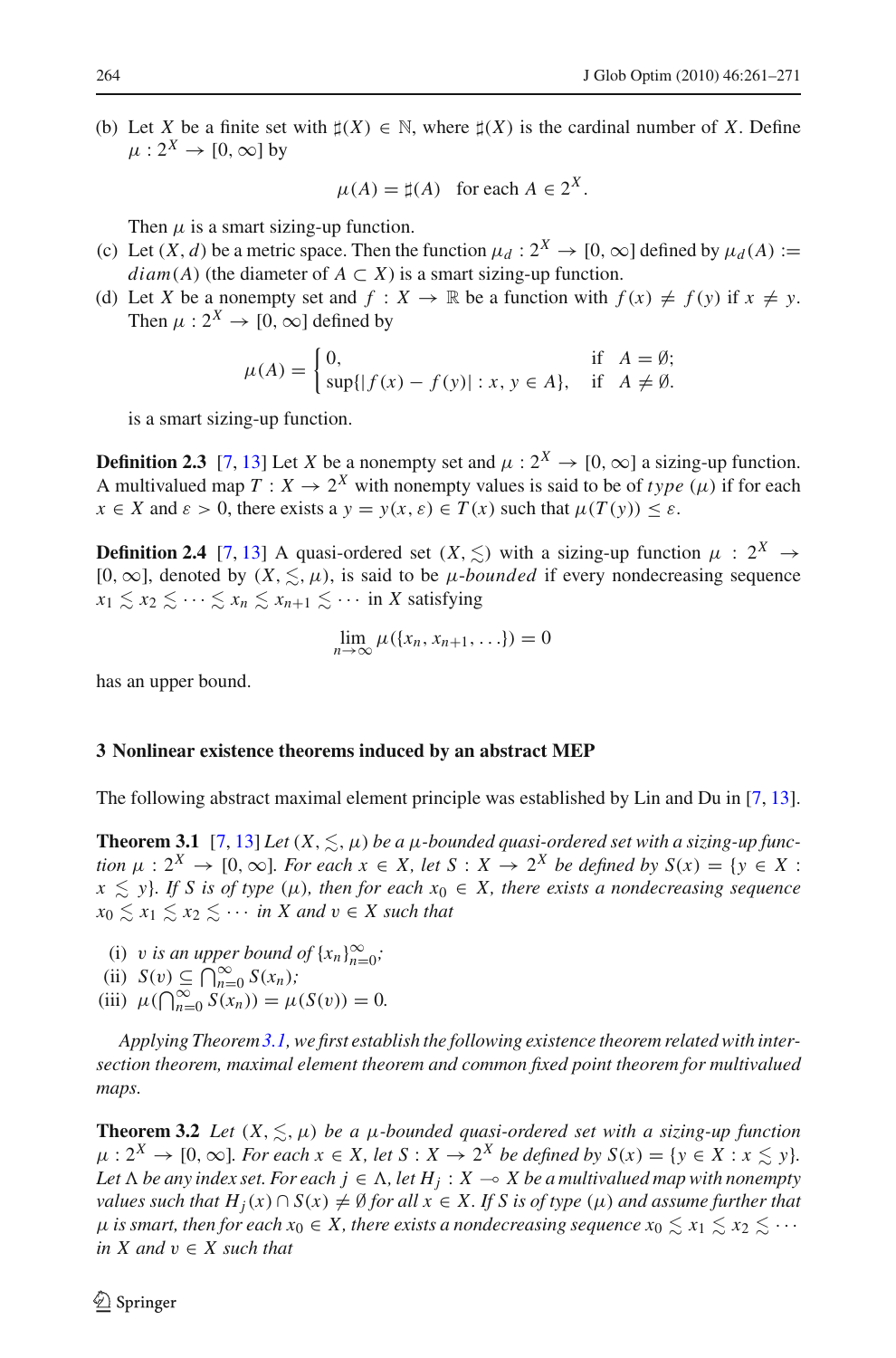(b) Let *X* be a finite set with  $\sharp(X) \in \mathbb{N}$ , where  $\sharp(X)$  is the cardinal number of *X*. Define  $\mu: 2^X \to [0, \infty]$  by

$$
\mu(A) = \sharp(A) \quad \text{for each } A \in 2^X.
$$

Then  $\mu$  is a smart sizing-up function.

- (c) Let  $(X, d)$  be a metric space. Then the function  $\mu_d : 2^X \to [0, \infty]$  defined by  $\mu_d(A) :=$ *diam*(*A*) (the diameter of  $A \subset X$ ) is a smart sizing-up function.
- (d) Let *X* be a nonempty set and  $f : X \to \mathbb{R}$  be a function with  $f(x) \neq f(y)$  if  $x \neq y$ . Then  $\mu: 2^X \rightarrow [0, \infty]$  defined by

$$
\mu(A) = \begin{cases} 0, & \text{if } A = \emptyset; \\ \sup\{|f(x) - f(y)| : x, y \in A\}, & \text{if } A \neq \emptyset. \end{cases}
$$

is a smart sizing-up function.

**Definition 2.3** [\[7](#page-10-3), [13](#page-10-7)] Let *X* be a nonempty set and  $\mu$  :  $2^X \rightarrow [0, \infty]$  a sizing-up function. A multivalued map  $T: X \to 2^X$  with nonempty values is said to be of *type*  $(\mu)$  if for each  $x \in X$  and  $\varepsilon > 0$ , there exists a  $y = y(x, \varepsilon) \in T(x)$  such that  $\mu(T(y)) \leq \varepsilon$ .

**Definition 2.4** [\[7](#page-10-3), [13](#page-10-7)] A quasi-ordered set  $(X, \leq)$  with a sizing-up function  $\mu : 2^X \rightarrow$ [0,  $\infty$ ], denoted by  $(X, \leq, \mu)$ , is said to be *µ*-*bounded* if every nondecreasing sequence  $x_1 \leq x_2 \leq \cdots \leq x_n \leq x_{n+1} \leq \cdots$  in *X* satisfying

$$
\lim_{n\to\infty}\mu(\{x_n,x_{n+1},\ldots\})=0
$$

has an upper bound.

#### **3 Nonlinear existence theorems induced by an abstract MEP**

<span id="page-3-0"></span>The following abstract maximal element principle was established by Lin and Du in [\[7,](#page-10-3) [13\]](#page-10-7).

**Theorem 3.1** [\[7,](#page-10-3) [13\]](#page-10-7) *Let*  $(X, \leq, \mu)$  *be a*  $\mu$ *-bounded quasi-ordered set with a sizing-up function*  $\mu : 2^X \rightarrow [0, \infty]$ *. For each*  $x \in X$ *, let*  $S : X \rightarrow 2^X$  *be defined by*  $S(x) = \{y \in X :$  $x \leq y$ *}. If S is of type* ( $\mu$ )*, then for each*  $x_0 \in X$ *, there exists a nondecreasing sequence*  $x_0 \leq x_1 \leq x_2 \leq \cdots$  *in X and*  $v \in X$  *such that* 

- (i) v *is an upper bound of*  $\{x_n\}_{n=0}^{\infty}$ ;
- $\overrightarrow{\text{(ii)}}$   $S(v) \subseteq \bigcap_{n=0}^{\infty} S(x_n);$
- (iii)  $\mu(\bigcap_{n=0}^{\infty} S(x_n)) = \mu(S(v)) = 0.$

*Applying Theorem[3.1,](#page-3-0) we first establish the following existence theorem related with intersection theorem, maximal element theorem and common fixed point theorem for multivalued maps.*

<span id="page-3-1"></span>**Theorem 3.2** *Let*  $(X, \leq, \mu)$  *be a*  $\mu$ *-bounded quasi-ordered set with a sizing-up function*  $\mu$  :  $2^X \rightarrow [0, \infty]$ *. For each*  $x \in X$ *, let*  $S : X \rightarrow 2^X$  *be defined by*  $S(x) = \{y \in X : x \leq y\}$ *.* Let  $\Lambda$  be any index set. For each  $j \in \Lambda$ , let  $H_j : X \multimap X$  be a multivalued map with nonempty *values such that*  $H_j(x) \cap S(x) \neq \emptyset$  *for all*  $x \in X$ . If S is of type  $(\mu)$  and assume further that  $\mu$  *is smart, then for each*  $x_0 \in X$ *, there exists a nondecreasing sequence*  $x_0 \leq x_1 \leq x_2 \leq \cdots$ *in*  $X$  *and*  $v \in X$  *such that*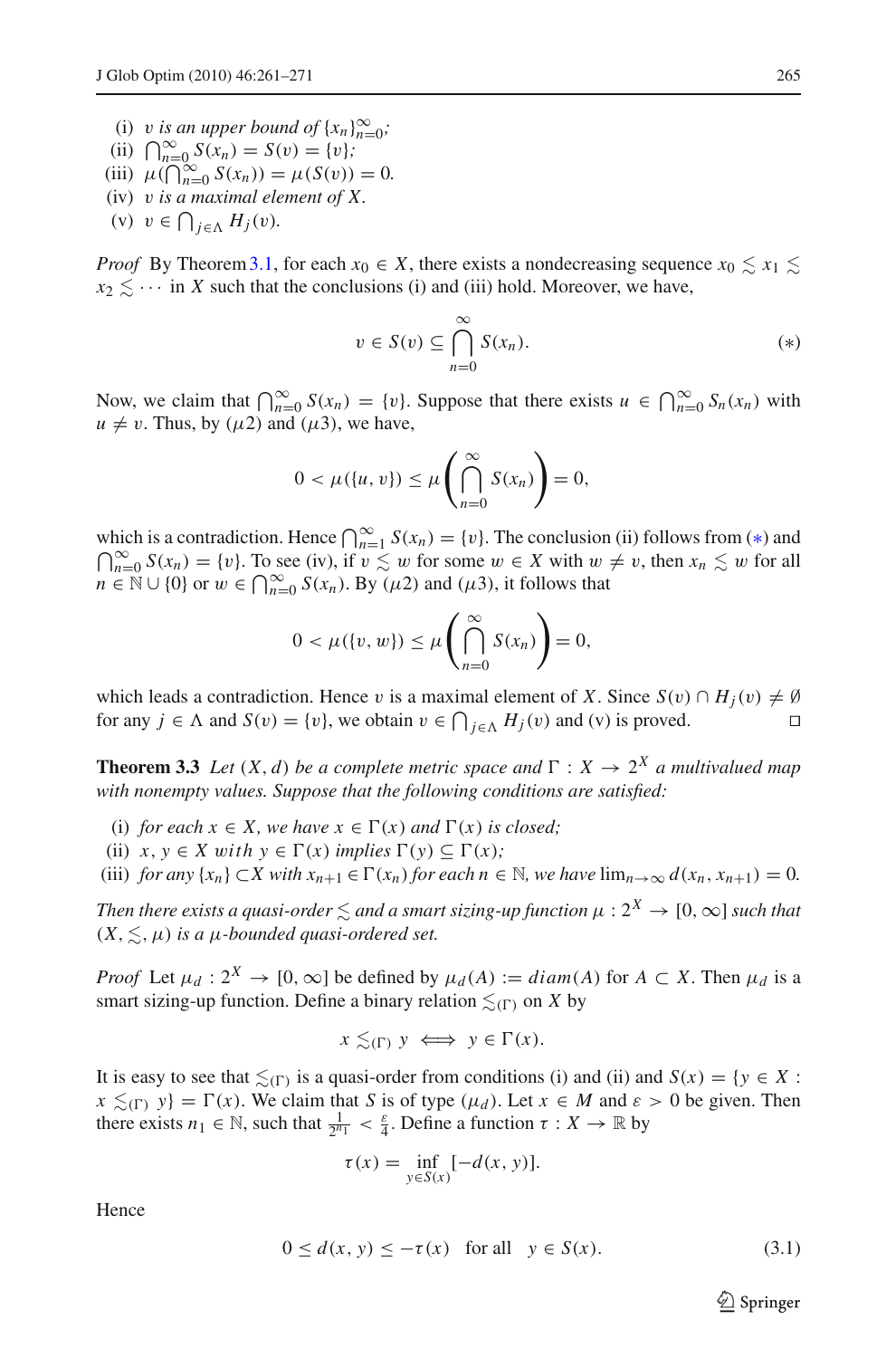- (i) v is an upper bound of  $\{x_n\}_{n=0}^{\infty}$ ;
- (ii)  $\bigcap_{n=0}^{\infty} S(x_n) = S(v) = \{v\};$
- (iii)  $\mu(\bigcap_{n=0}^{\infty} S(x_n)) = \mu(S(v)) = 0.$
- (iv) v *is a maximal element of X.*
- (v)  $v \in \bigcap_{j \in \Lambda} H_j(v)$ .

*Proof* By Theorem 3.1, for each  $x_0 \in X$ , there exists a nondecreasing sequence  $x_0 \leq x_1 \leq x_2$  $x_2 \leq \cdots$  in *X* such that the conclusions (i) and (iii) hold. Moreover, we have,

$$
v \in S(v) \subseteq \bigcap_{n=0}^{\infty} S(x_n). \tag{*}
$$

<span id="page-4-0"></span>Now, we claim that  $\bigcap_{n=0}^{\infty} S(x_n) = \{v\}$ . Suppose that there exists  $u \in \bigcap_{n=0}^{\infty} S_n(x_n)$  with  $u \neq v$ . Thus, by ( $\mu$ 2) and ( $\mu$ 3), we have,

$$
0 < \mu(\{u, v\}) \leq \mu\left(\bigcap_{n=0}^{\infty} S(x_n)\right) = 0,
$$

which is a contradiction. Hence  $\bigcap_{n=1}^{\infty} S(x_n) = \{v\}$ . The conclusion (ii) follows from (\*) and  $\bigcap_{n=1}^{\infty} S(x_n) = \{v\}$ . To see (iv) if  $v \leq w$  for some  $w \in X$  with  $w \neq v$ , then  $x \leq w$  for all  $\bigcap_{n=0}^{\infty} S(x_n) = \{v\}$ . To see (iv), if  $v \lesssim w$  for some  $w \in X$  with  $w \neq v$ , then  $x_n \lesssim w$  for all  $n \in \mathbb{N} \cup \{0\}$  or  $w \in \bigcap_{n=0}^{\infty} S(x_n)$ . By  $(\mu 2)$  and  $(\mu 3)$ , it follows that

$$
0 < \mu(\lbrace v, w \rbrace) \leq \mu\left(\bigcap_{n=0}^{\infty} S(x_n)\right) = 0,
$$

which leads a contradiction. Hence v is a maximal element of *X*. Since  $S(v) \cap H_i(v) \neq \emptyset$ for any  $j \in \Lambda$  and  $S(v) = \{v\}$ , we obtain  $v \in \bigcap_{j \in \Lambda} H_j(v)$  and (v) is proved.

<span id="page-4-2"></span>**Theorem 3.3** *Let*  $(X, d)$  *be a complete metric space and*  $\Gamma : X \to 2^X$  *a multivalued map with nonempty values. Suppose that the following conditions are satisfied:*

- (i) *for each*  $x \in X$ *, we have*  $x \in \Gamma(x)$  *and*  $\Gamma(x)$  *is closed*;
- (ii)  $x, y \in X$  with  $y \in \Gamma(x)$  implies  $\Gamma(y) \subseteq \Gamma(x)$ ;
- (iii) *for any*  $\{x_n\} \subset X$  *with*  $x_{n+1} \in \Gamma(x_n)$  *for each*  $n \in \mathbb{N}$ *, we have*  $\lim_{n \to \infty} d(x_n, x_{n+1}) = 0$ *.*

*Then there exists a quasi-order*  $\lesssim$  *and a smart sizing-up function*  $\mu : 2^X \to [0, \infty]$  *such that*  $(X, \leq, \mu)$  *is a*  $\mu$ *-bounded quasi-ordered set.* 

*Proof* Let  $\mu_d$  :  $2^X \to [0, \infty]$  be defined by  $\mu_d(A) := diam(A)$  for  $A \subset X$ . Then  $\mu_d$  is a smart sizing-up function. Define a binary relation  $\leq$ <sub>( $\Gamma$ )</sub> on *X* by

$$
x \lesssim_{(\Gamma)} y \iff y \in \Gamma(x).
$$

It is easy to see that  $\leq_{(\Gamma)}$  is a quasi-order from conditions (i) and (ii) and  $S(x) = \{y \in X :$  $x \leq_{(\Gamma)} y$  =  $\Gamma(x)$ . We claim that *S* is of type ( $\mu_d$ ). Let  $x \in M$  and  $\varepsilon > 0$  be given. Then there exists  $n_1 \in \mathbb{N}$ , such that  $\frac{1}{2^{n_1}} < \frac{\varepsilon}{4}$ . Define a function  $\tau : X \to \mathbb{R}$  by

$$
\tau(x) = \inf_{y \in S(x)} [-d(x, y)].
$$

<span id="page-4-1"></span>Hence

$$
0 \le d(x, y) \le -\tau(x) \quad \text{for all} \quad y \in S(x). \tag{3.1}
$$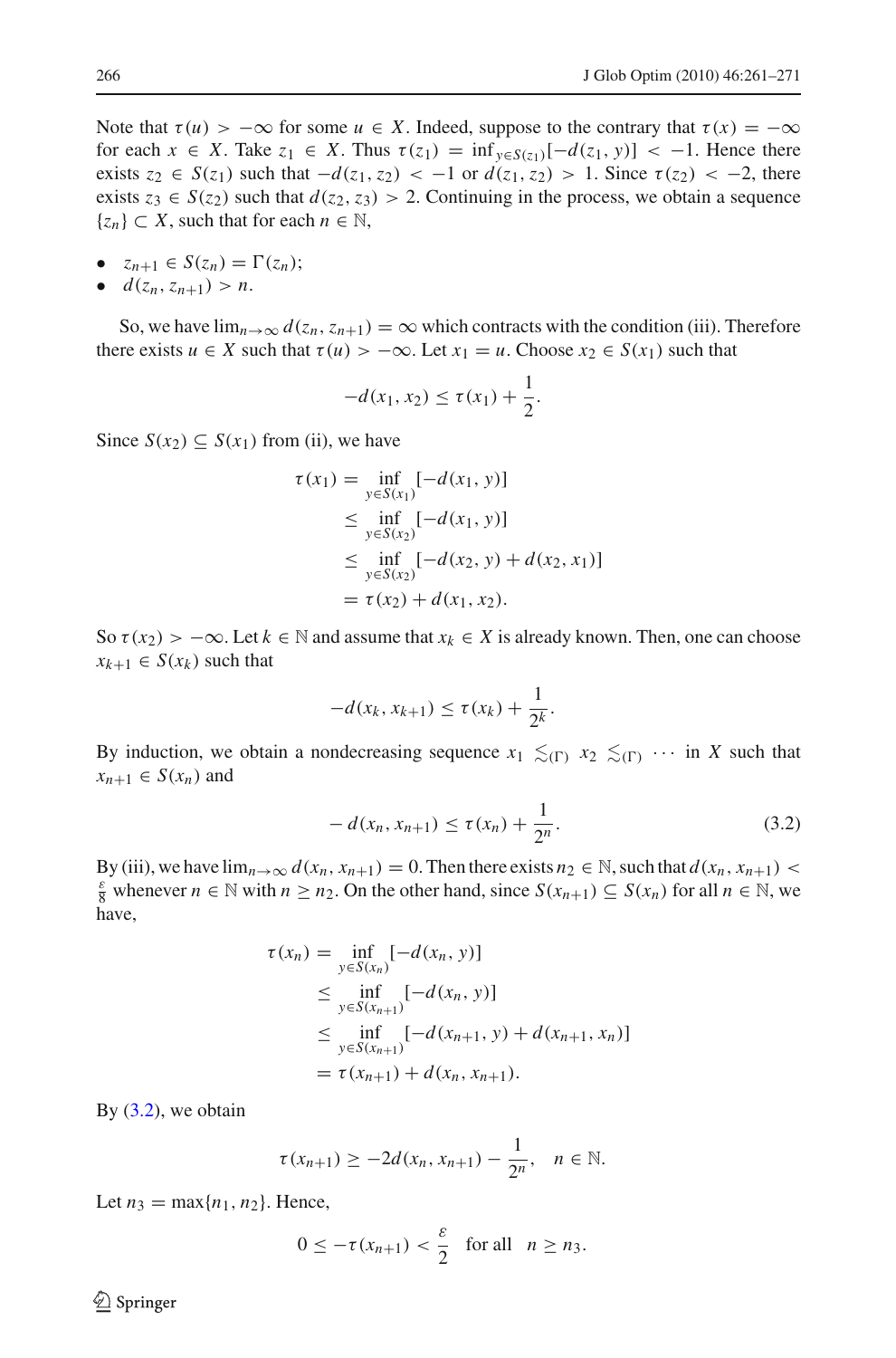Note that  $\tau(u) > -\infty$  for some  $u \in X$ . Indeed, suppose to the contrary that  $\tau(x) = -\infty$ for each  $x \in X$ . Take  $z_1 \in X$ . Thus  $\tau(z_1) = \inf_{y \in S(z_1)}[-d(z_1, y)] < -1$ . Hence there exists  $z_2$  ∈  $S(z_1)$  such that  $-d(z_1, z_2)$  < −1 or  $d(z_1, z_2)$  > 1. Since  $\tau(z_2)$  < −2, there exists  $z_3 \in S(z_2)$  such that  $d(z_2, z_3) > 2$ . Continuing in the process, we obtain a sequence  $\{z_n\} \subset X$ , such that for each  $n \in \mathbb{N}$ ,

- $z_{n+1} \in S(z_n) = \Gamma(z_n)$ ;
- $d(z_n, z_{n+1}) > n$ .

So, we have  $\lim_{n\to\infty} d(z_n, z_{n+1}) = \infty$  which contracts with the condition (iii). Therefore there exists  $u \in X$  such that  $\tau(u) > -\infty$ . Let  $x_1 = u$ . Choose  $x_2 \in S(x_1)$  such that

$$
-d(x_1, x_2) \leq \tau(x_1) + \frac{1}{2}.
$$

Since *S*(*x*<sub>2</sub>) ⊂ *S*(*x*<sub>1</sub>) from (ii), we have

$$
\tau(x_1) = \inf_{y \in S(x_1)} [-d(x_1, y)]
$$
  
\n
$$
\leq \inf_{y \in S(x_2)} [-d(x_1, y)]
$$
  
\n
$$
\leq \inf_{y \in S(x_2)} [-d(x_2, y) + d(x_2, x_1)]
$$
  
\n
$$
= \tau(x_2) + d(x_1, x_2).
$$

So  $\tau(x_2) > -\infty$ . Let  $k \in \mathbb{N}$  and assume that  $x_k \in X$  is already known. Then, one can choose  $x_{k+1} \in S(x_k)$  such that

$$
-d(x_k, x_{k+1}) \leq \tau(x_k) + \frac{1}{2^k}.
$$

By induction, we obtain a nondecreasing sequence  $x_1 \leq_{(\Gamma)} x_2 \leq_{(\Gamma)} \cdots$  in *X* such that  $x_{n+1} \in S(x_n)$  and

$$
-d(x_n, x_{n+1}) \le \tau(x_n) + \frac{1}{2^n}.
$$
\n(3.2)

<span id="page-5-0"></span>By (iii), we have  $\lim_{n\to\infty} d(x_n, x_{n+1}) = 0$ . Then there exists  $n_2 \in \mathbb{N}$ , such that  $d(x_n, x_{n+1})$  <  $\frac{8}{8}$  whenever  $n \in \mathbb{N}$  with  $n \ge n_2$ . On the other hand, since  $S(x_{n+1}) \subseteq S(x_n)$  for all  $n \in \mathbb{N}$ , we have,

$$
\tau(x_n) = \inf_{y \in S(x_n)} [-d(x_n, y)]
$$
  
\n
$$
\leq \inf_{y \in S(x_{n+1})} [-d(x_n, y)]
$$
  
\n
$$
\leq \inf_{y \in S(x_{n+1})} [-d(x_{n+1}, y) + d(x_{n+1}, x_n)]
$$
  
\n
$$
= \tau(x_{n+1}) + d(x_n, x_{n+1}).
$$

By  $(3.2)$ , we obtain

$$
\tau(x_{n+1}) \geq -2d(x_n, x_{n+1}) - \frac{1}{2^n}, \quad n \in \mathbb{N}.
$$

Let  $n_3 = \max\{n_1, n_2\}$ . Hence,

$$
0 \leq -\tau(x_{n+1}) < \frac{\varepsilon}{2} \quad \text{for all} \quad n \geq n_3.
$$

 $\circledcirc$  Springer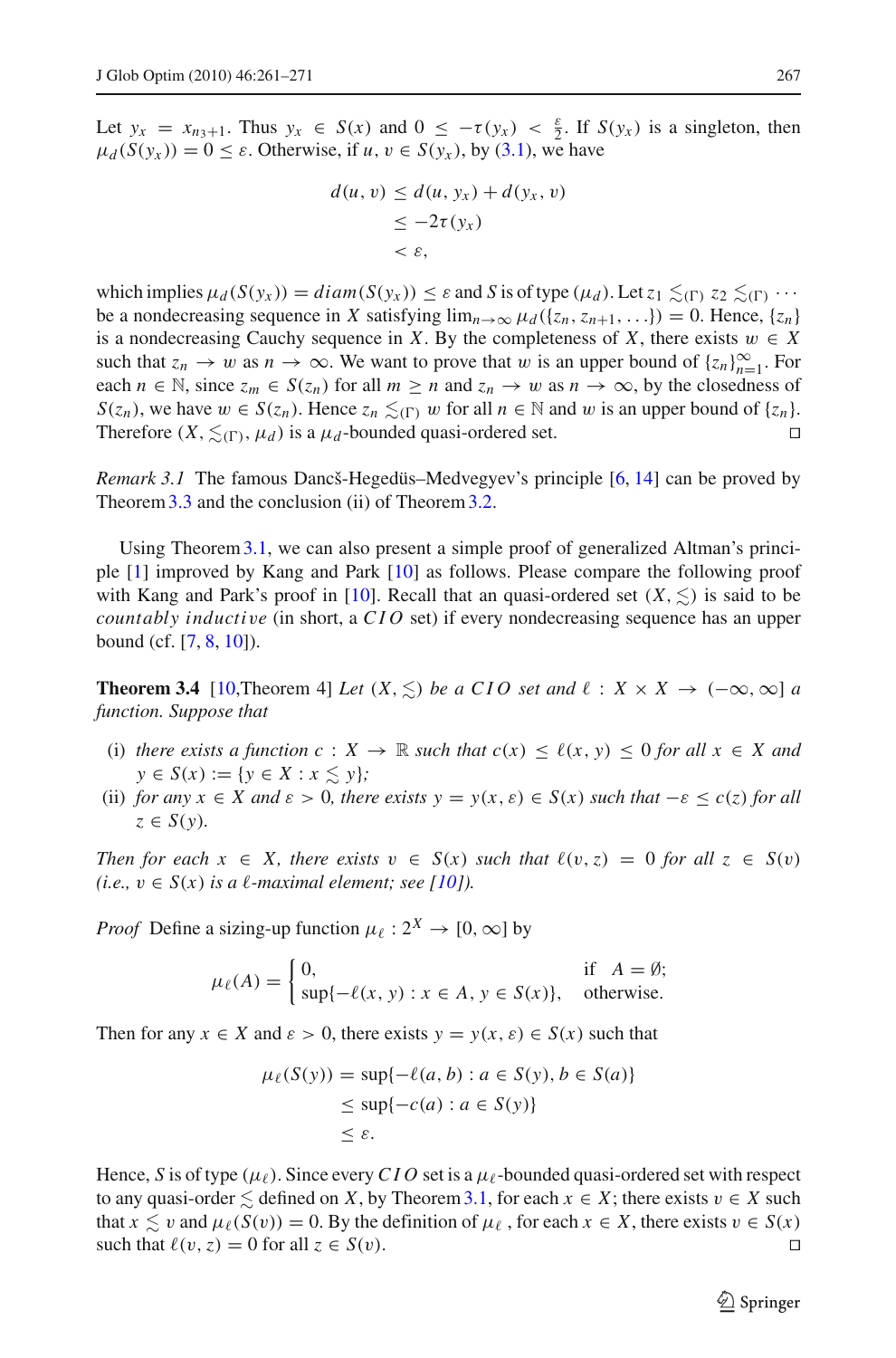Let  $y_x = x_{n_3+1}$ . Thus  $y_x \in S(x)$  and  $0 \le -\tau(y_x) < \frac{\varepsilon}{2}$ . If  $S(y_x)$  is a singleton, then  $\mu_d(S(y_x)) = 0 \le \varepsilon$ . Otherwise, if  $u, v \in S(y_x)$ , by [\(3.1\)](#page-4-1), we have

$$
d(u, v) \le d(u, y_x) + d(y_x, v)
$$
  
\n
$$
\le -2\tau(y_x)
$$
  
\n
$$
< \varepsilon,
$$

which implies  $\mu_d(S(y_x)) = diam(S(y_x)) \leq \varepsilon$  and *S* is of type  $(\mu_d)$ . Let  $z_1 \leq_{(\Gamma)} z_2 \leq_{(\Gamma)} \cdots$ be a nondecreasing sequence in *X* satisfying  $\lim_{n\to\infty} \mu_d(\{z_n, z_{n+1}, \ldots\}) = 0$ . Hence,  $\{z_n\}$ is a nondecreasing Cauchy sequence in *X*. By the completeness of *X*, there exists  $w \in X$ such that  $z_n \to w$  as  $n \to \infty$ . We want to prove that w is an upper bound of  $\{z_n\}_{n=1}^{\infty}$ . For each  $n \in \mathbb{N}$ , since  $z_m \in S(z_n)$  for all  $m \ge n$  and  $z_n \to w$  as  $n \to \infty$ , by the closedness of *S*(*z<sub>n</sub>*), we have  $w \in S(z_n)$ . Hence  $z_n \leq_{(\Gamma)} w$  for all  $n \in \mathbb{N}$  and w is an upper bound of  $\{z_n\}$ . Therefore  $(X, \leq_{(\Gamma)}, \mu_d)$  is a  $\mu_d$ -bounded quasi-ordered set.

*Remark 3.1* The famous Dancš-Hegedüs–Medvegyev's principle [\[6,](#page-10-12) [14\]](#page-10-13) can be proved by Theorem [3.3](#page-4-2) and the conclusion (ii) of Theorem [3.2.](#page-3-1)

Using Theore[m3.1,](#page-3-0) we can also present a simple proof of generalized Altman's principle [\[1\]](#page-10-1) improved by Kang and Park [\[10\]](#page-10-5) as follows. Please compare the following proof with Kang and Park's proof in [\[10\]](#page-10-5). Recall that an quasi-ordered set  $(X, \leq)$  is said to be *countably inducti*v*e* (in short, a *CIO* set) if every nondecreasing sequence has an upper bound (cf. [\[7](#page-10-3), [8](#page-10-14), [10](#page-10-5)]).

**Theorem 3.4** [\[10,](#page-10-5)Theorem 4] *Let*  $(X, \leq)$  *be a CIO set and*  $\ell : X \times X \to (-\infty, \infty]$  *a function. Suppose that*

- (i) *there exists a function*  $c: X \to \mathbb{R}$  *such that*  $c(x) \leq \ell(x, y) \leq 0$  *for all*  $x \in X$  *and y* ∈ *S*(*x*) := {*y* ∈ *X* : *x*  $\leq$  *y*}*;*
- (ii) *for any*  $x \in X$  *and*  $\varepsilon > 0$ *, there exists*  $y = y(x, \varepsilon) \in S(x)$  *such that*  $-\varepsilon \le c(z)$  *for all*  $z \in S(y)$ .

*Then for each*  $x \in X$ *, there exists*  $v \in S(x)$  *such that*  $\ell(v, z) = 0$  *for all*  $z \in S(v)$ *(i.e.,*  $v \in S(x)$  *is a*  $\ell$ *-maximal element; see [\[10\]](#page-10-5)).* 

*Proof* Define a sizing-up function  $\mu_{\ell} : 2^X \to [0, \infty]$  by

$$
\mu_{\ell}(A) = \begin{cases} 0, & \text{if } A = \emptyset; \\ \sup\{-\ell(x, y) : x \in A, y \in S(x)\}, & \text{otherwise.} \end{cases}
$$

Then for any  $x \in X$  and  $\varepsilon > 0$ , there exists  $y = y(x, \varepsilon) \in S(x)$  such that

$$
\mu_{\ell}(S(y)) = \sup \{-\ell(a, b) : a \in S(y), b \in S(a)\}
$$
  

$$
\leq \sup \{-c(a) : a \in S(y)\}
$$
  

$$
\leq \varepsilon.
$$

Hence, *S* is of type  $(\mu_{\ell})$ . Since every *CIO* set is a  $\mu_{\ell}$ -bounded quasi-ordered set with respect to any quasi-order  $\leq$  defined on *X*, by Theorem [3.1,](#page-3-0) for each  $x \in X$ ; there exists  $v \in X$  such that  $x \le v$  and  $\mu_{\ell}(S(v)) = 0$ . By the definition of  $\mu_{\ell}$ , for each  $x \in X$ , there exists  $v \in S(x)$ such that  $\ell(v, z) = 0$  for all  $z \in S(v)$ .

 $\mathcal{L}$  Springer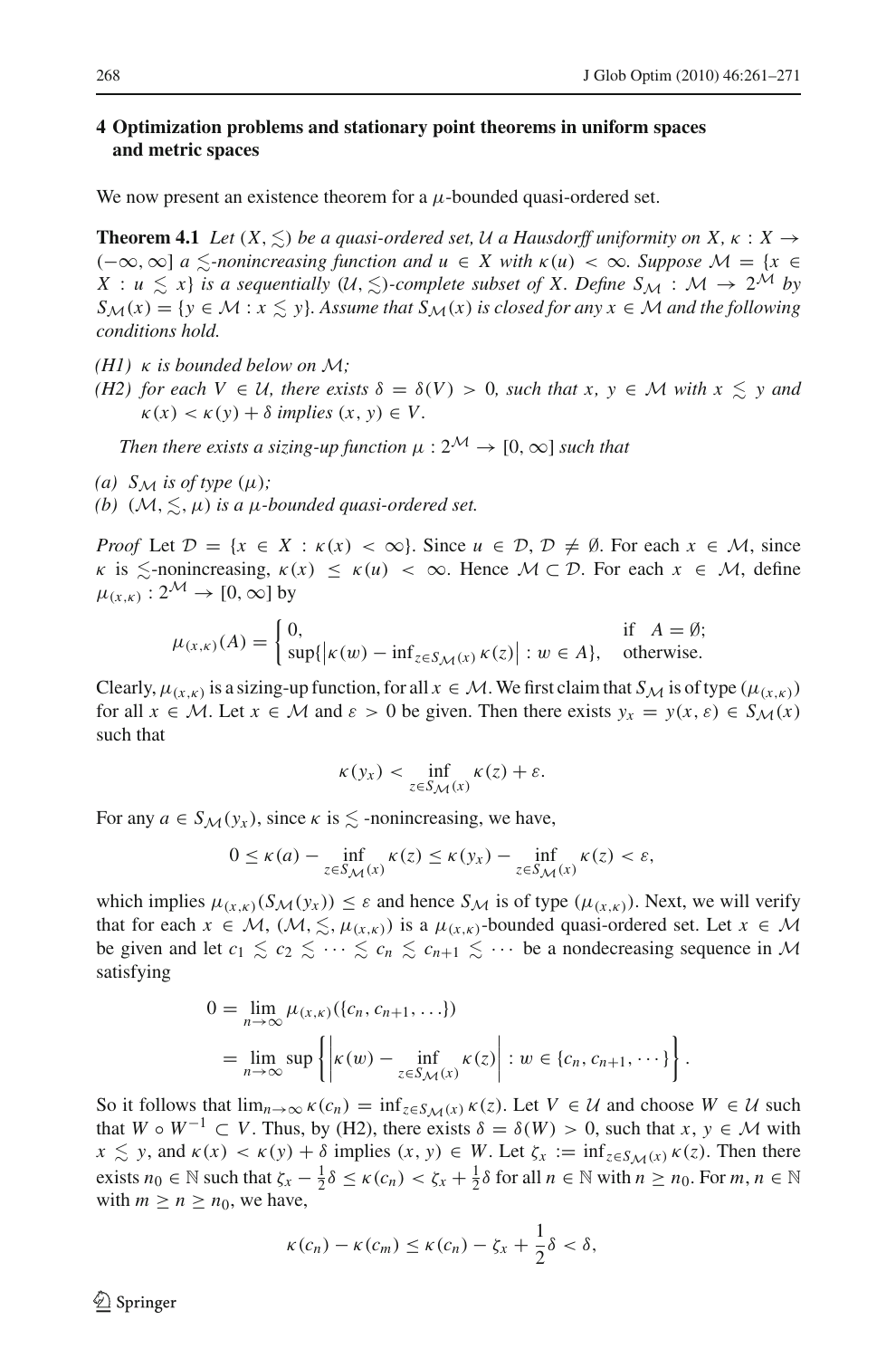## **4 Optimization problems and stationary point theorems in uniform spaces and metric spaces**

<span id="page-7-0"></span>We now present an existence theorem for a  $\mu$ -bounded quasi-ordered set.

**Theorem 4.1** *Let*  $(X, \leq)$  *be a quasi-ordered set,*  $U$  *a Hausdorff uniformity on*  $X, \kappa : X \rightarrow$  $(-∞, ∞]$  *a*  $\le$ -nonincreasing function and  $u \in X$  with  $\kappa(u) < ∞$ . Suppose  $M = \{x \in X\}$  $X: u \leq x$  *is a sequentially*  $(U, \leq)$ *-complete subset of X. Define*  $S_M: M \to 2^M$  *by SM*(*x*) = {*y* ∈ *M* : *x*  $\leq$  *y*}*. Assume that S<sub><i>M*</sub>(*x*) *is closed for any x* ∈ *M and the following conditions hold.*

- *(H1)* κ *is bounded below on M;*
- *(H2) for each V*  $\in$  *U, there exists*  $\delta = \delta(V) > 0$ *, such that x, y*  $\in$  *M with x*  $\leq$  *y and*  $\kappa(x) < \kappa(y) + \delta$  *implies*  $(x, y) \in V$ .

*Then there exists a sizing-up function*  $\mu$  :  $2^{\mathcal{M}} \rightarrow [0, \infty]$  *such that* 

- (a)  $S_M$  *is of type*  $(\mu)$ ;
- *(b)*  $(\mathcal{M}, \leq, \mu)$  *is a*  $\mu$ *-bounded quasi-ordered set.*

*Proof* Let  $\mathcal{D} = \{x \in X : \kappa(x) < \infty\}$ . Since  $u \in \mathcal{D}, \mathcal{D} \neq \emptyset$ . For each  $x \in \mathcal{M}$ , since  $\kappa$  is  $\leq$ -nonincreasing,  $\kappa(x) \leq \kappa(u) < \infty$ . Hence  $\mathcal{M} \subset \mathcal{D}$ . For each  $x \in \mathcal{M}$ , define  $\mu_{(x,k)} : 2^{\mathcal{M}} \to [0, \infty]$  by

$$
\mu_{(x,\kappa)}(A) = \begin{cases} 0, & \text{if } A = \emptyset; \\ \sup\{|\kappa(w) - \inf_{z \in S_{\mathcal{M}}(x)} \kappa(z)| : w \in A\}, & \text{otherwise.} \end{cases}
$$

Clearly,  $\mu(x, k)$  is a sizing-up function, for all  $x \in M$ . We first claim that  $S_M$  is of type  $(\mu(x, k))$ for all  $x \in M$ . Let  $x \in M$  and  $\varepsilon > 0$  be given. Then there exists  $y_x = y(x, \varepsilon) \in S_M(x)$ such that

$$
\kappa(y_x) < \inf_{z \in S_{\mathcal{M}}(x)} \kappa(z) + \varepsilon.
$$

For any  $a \in S_{\mathcal{M}}(\mathcal{Y}_x)$ , since  $\kappa$  is  $\leq$  -nonincreasing, we have,

$$
0 \le \kappa(a) - \inf_{z \in S_{\mathcal{M}}(x)} \kappa(z) \le \kappa(y_x) - \inf_{z \in S_{\mathcal{M}}(x)} \kappa(z) < \varepsilon,
$$

which implies  $\mu_{(x,\kappa)}(S_M(y_x)) \leq \varepsilon$  and hence  $S_M$  is of type  $(\mu_{(x,\kappa)})$ . Next, we will verify that for each  $x \in M$ ,  $(M, \leq, \mu(x, k))$  is a  $\mu(x, k)$ -bounded quasi-ordered set. Let  $x \in M$ be given and let  $c_1 \leq c_2 \leq \cdots \leq c_n \leq c_{n+1} \leq \cdots$  be a nondecreasing sequence in *M* satisfying

$$
0 = \lim_{n \to \infty} \mu_{(x,\kappa)}(\{c_n, c_{n+1}, \ldots\})
$$
  
= 
$$
\lim_{n \to \infty} \sup \left\{ \left| \kappa(w) - \inf_{z \in S_{\mathcal{M}}(x)} \kappa(z) \right| : w \in \{c_n, c_{n+1}, \ldots\} \right\}.
$$

So it follows that  $\lim_{n\to\infty} \kappa(c_n) = \inf_{z \in S_M(x)} \kappa(z)$ . Let  $V \in \mathcal{U}$  and choose  $W \in \mathcal{U}$  such that *W*  $\circ$  *W*<sup>−1</sup>  $\subset$  *V*. Thus, by (H2), there exists  $\delta = \delta(W) > 0$ , such that *x*, *y*  $\in$  *M* with  $x \leq y$ , and  $\kappa(x) < \kappa(y) + \delta$  implies  $(x, y) \in W$ . Let  $\zeta_x := \inf_{z \in S_M(x)} \kappa(z)$ . Then there exists  $n_0 \in \mathbb{N}$  such that  $\zeta_x - \frac{1}{2}\delta \le \kappa(c_n) < \zeta_x + \frac{1}{2}\delta$  for all  $n \in \mathbb{N}$  with  $n \ge n_0$ . For  $m, n \in \mathbb{N}$ with  $m > n > n_0$ , we have,

$$
\kappa(c_n)-\kappa(c_m)\leq \kappa(c_n)-\zeta_x+\frac{1}{2}\delta<\delta,
$$

 $\mathcal{L}$  Springer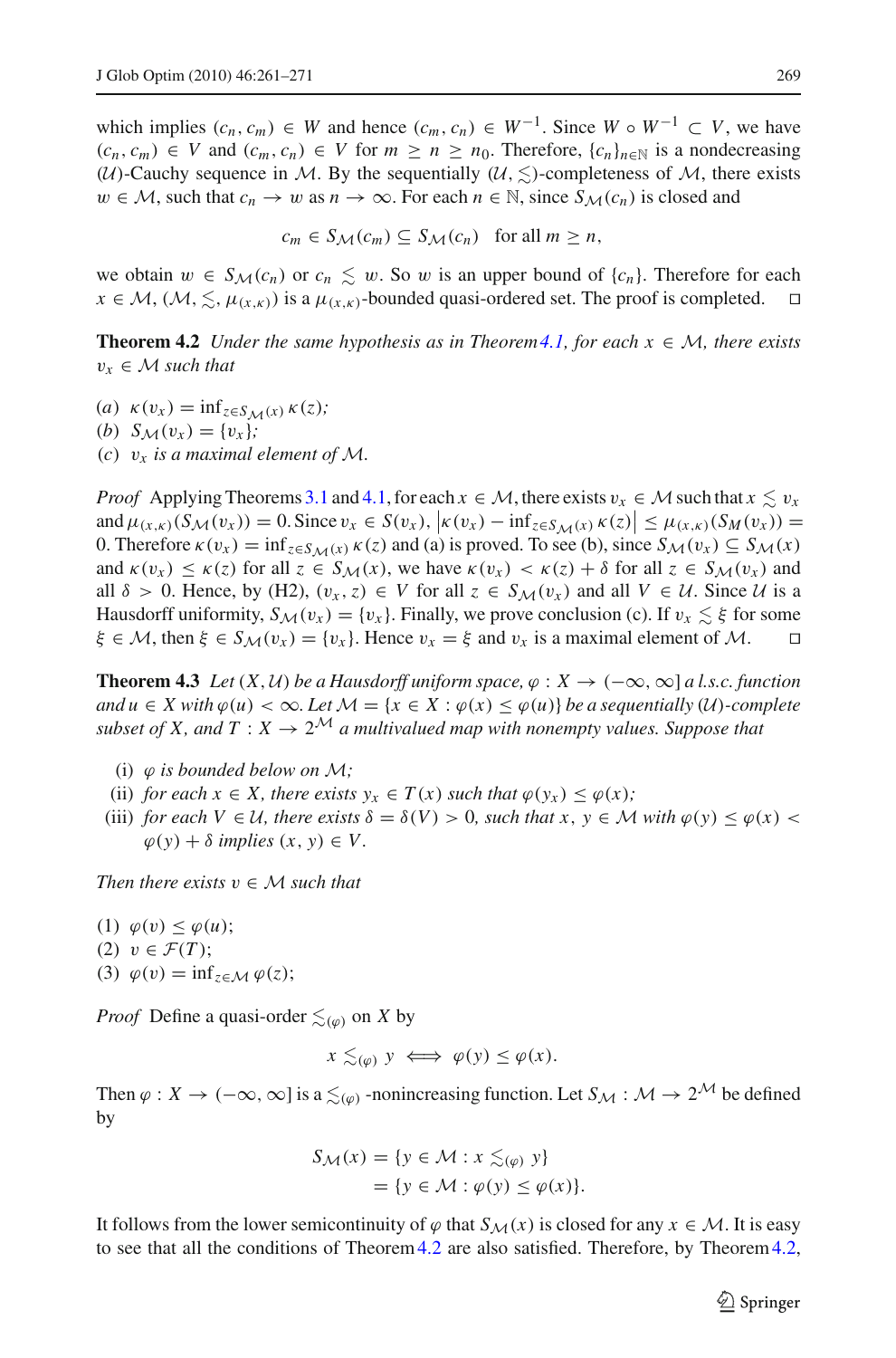which implies  $(c_n, c_m) \in W$  and hence  $(c_m, c_n) \in W^{-1}$ . Since  $W \circ W^{-1} \subset V$ , we have  $(c_n, c_m) \in V$  and  $(c_m, c_n) \in V$  for  $m \geq n \geq n_0$ . Therefore,  $\{c_n\}_{n \in \mathbb{N}}$  is a nondecreasing (*U*)-Cauchy sequence in *M*. By the sequentially ( $\mathcal{U}, \leq$ )-completeness of *M*, there exists *w* ∈ *M*, such that  $c_n$  → *w* as  $n$  → ∞. For each  $n \in \mathbb{N}$ , since  $S_M(c_n)$  is closed and

 $c_m \in S_M(c_m) \subseteq S_M(c_n)$  for all  $m \geq n$ ,

we obtain  $w \in S_{\mathcal{M}}(c_n)$  or  $c_n \leq w$ . So w is an upper bound of  $\{c_n\}$ . Therefore for each  $x \in \mathcal{M}, (\mathcal{M}, \leq, \mu_{(x, k)})$  is a  $\mu_{(x, k)}$ -bounded quasi-ordered set. The proof is completed.  $\Box$  $x \in \mathcal{M}, (\mathcal{M}, \leq, \mu_{(x,k)})$  is a  $\mu_{(x,k)}$ -bounded quasi-ordered set. The proof is completed.

<span id="page-8-0"></span>**Theorem 4.2** *Under the same hypothesis as in Theorem [4.1,](#page-7-0) for each*  $x \in M$ *, there exists*  $v_x \in M$  *such that* 

(*a*)  $\kappa(v_x) = \inf_{z \in S_M(x)} \kappa(z)$ ; (*b*)  $S_M(v_x) = \{v_x\}$ ; (*c*)  $v_x$  *is a maximal element of*  $M$ *.* 

*Proof* Applying Theorems [3.1](#page-3-0) and [4.1,](#page-7-0) for each  $x \in M$ , there exists  $v_x \in M$  such that  $x \leq v_x$ and  $\mu_{(x,k)}(S_M(v_x)) = 0$ . Since  $v_x \in S(v_x)$ ,  $\left| \kappa(v_x) - \inf_{z \in S_M(x)} \kappa(z) \right| \leq \mu_{(x,k)}(S_M(v_x)) = 0$ . Then  $S(M(v_x))$ 0. Therefore  $\kappa(v_x) = \inf_{z \in S_M(x)} \kappa(z)$  and (a) is proved. To see (b), since  $S_M(v_x) \subseteq S_M(x)$ and  $\kappa(v_x) \leq \kappa(z)$  for all  $z \in S_M(x)$ , we have  $\kappa(v_x) < \kappa(z) + \delta$  for all  $z \in S_M(v_x)$  and all  $\delta > 0$ . Hence, by (H2),  $(v_x, z) \in V$  for all  $z \in S_M(v_x)$  and all  $V \in U$ . Since *U* is a Hausdorff uniformity,  $S_M(v_x) = \{v_x\}$ . Finally, we prove conclusion (c). If  $v_x \leq \xi$  for some  $\xi \in M$ , then  $\xi \in S_M(v_x) = \{v_x\}$ . Hence  $v_x = \xi$  and  $v_x$  is a maximal element of M.  $\xi \in M$ , then  $\xi \in S_M(v_x) = \{v_x\}$ . Hence  $v_x = \xi$  and  $v_x$  is a maximal element of M.

<span id="page-8-1"></span>**Theorem 4.3** *Let*  $(X, U)$  *be a Hausdorff uniform space,*  $\varphi : X \to (-\infty, \infty]$  *a l.s.c. function and*  $u \in X$  with  $\varphi(u) < \infty$ *. Let*  $M = \{x \in X : \varphi(x) \leq \varphi(u)\}$  *be a sequentially* (*U*)*-complete subset of X, and T* :  $X \to 2^{\mathcal{M}}$  *a multivalued map with nonempty values. Suppose that* 

- (i)  $\varphi$  *is bounded below on*  $\mathcal{M}$ *;*
- (ii) *for each*  $x \in X$ *, there exists*  $y_x \in T(x)$  *such that*  $\varphi(y_x) \leq \varphi(x)$ *;*
- (iii) *for each V*  $\in \mathcal{U}$ *, there exists*  $\delta = \delta(V) > 0$ *, such that x*,  $y \in \mathcal{M}$  *with*  $\varphi(y) < \varphi(x)$  $\varphi(y) + \delta$  *implies*  $(x, y) \in V$ .

*Then there exists*  $v \in M$  *such that* 

(1)  $\varphi(v) < \varphi(u)$ ; (2)  $v \in \mathcal{F}(T)$ ; (3)  $\varphi(v) = \inf_{z \in \mathcal{M}} \varphi(z);$ 

*Proof* Define a quasi-order  $\leq_{(\varphi)}$  on *X* by

$$
x \lesssim_{(\varphi)} y \iff \varphi(y) \le \varphi(x).
$$

Then  $\varphi: X \to (-\infty, \infty]$  is a  $\leq_{(\varphi)}$  -nonincreasing function. Let  $S_M : \mathcal{M} \to 2^{\mathcal{M}}$  be defined by

$$
S_{\mathcal{M}}(x) = \{ y \in \mathcal{M} : x \lesssim_{(\varphi)} y \}
$$
  
=  $\{ y \in \mathcal{M} : \varphi(y) \leq \varphi(x) \}.$ 

It follows from the lower semicontinuity of  $\varphi$  that  $S_M(x)$  is closed for any  $x \in M$ . It is easy to see that all the conditions of Theorem[4.2](#page-8-0) are also satisfied. Therefore, by Theorem[4.2,](#page-8-0)

 $\mathcal{L}$  Springer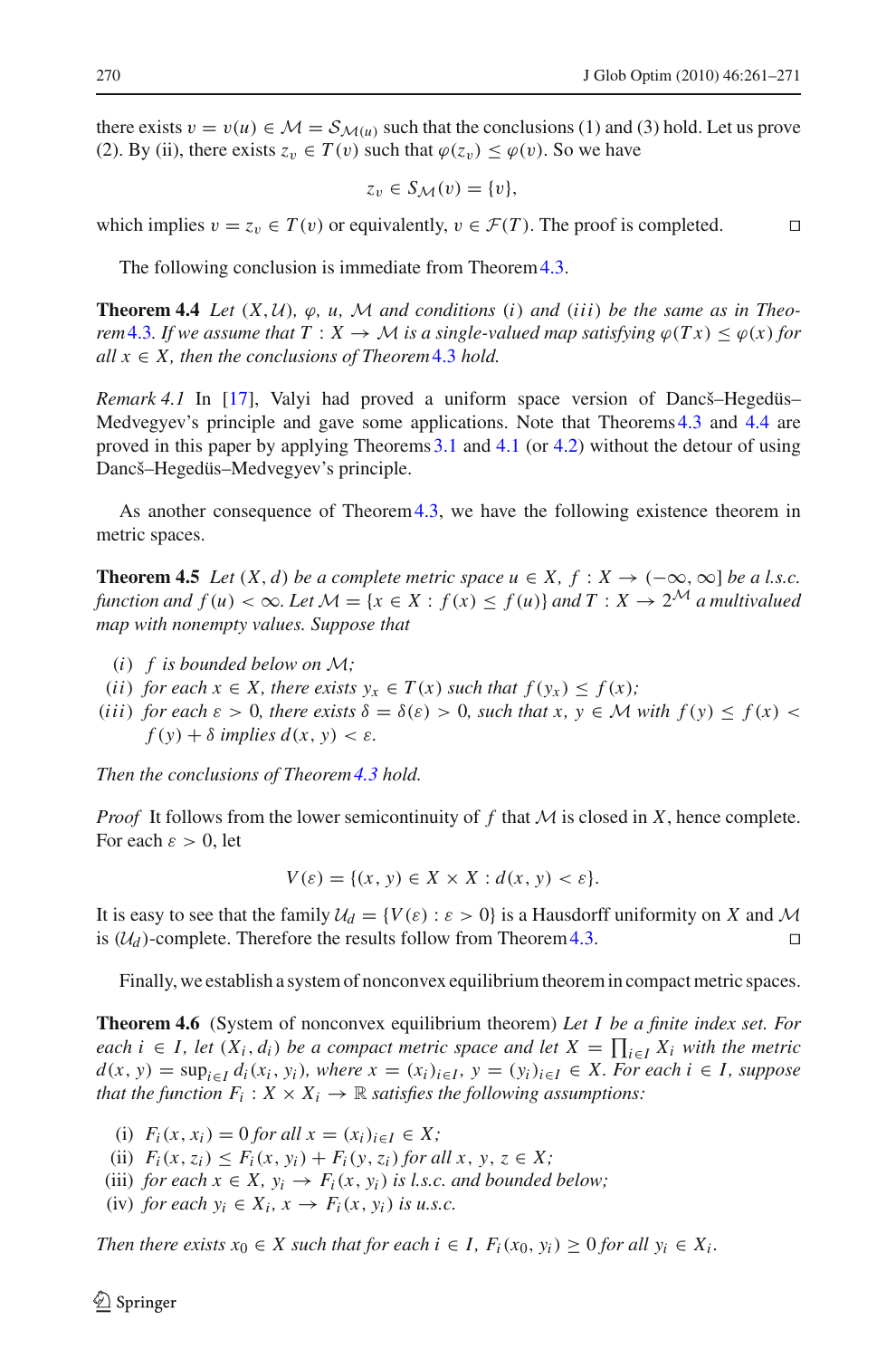there exists  $v = v(u) \in \mathcal{M} = \mathcal{S}_{\mathcal{M}(u)}$  such that the conclusions (1) and (3) hold. Let us prove (2). By (ii), there exists  $z_v \in T(v)$  such that  $\varphi(z_v) \leq \varphi(v)$ . So we have

$$
z_v \in S_{\mathcal{M}}(v) = \{v\},\
$$

which implies  $v = z_v \in T(v)$  or equivalently,  $v \in \mathcal{F}(T)$ . The proof is completed.

The following conclusion is immediate from Theorem [4.3.](#page-8-1)

<span id="page-9-0"></span>**Theorem 4.4** *Let*  $(X, U)$ *,*  $\varphi$ *, u,*  $M$  *and conditions* (*i*) *and* (*iii*) *be the same as in Theorem*[4.3](#page-8-1)*. If we assume that*  $T : X \to M$  *is a single-valued map satisfying*  $\varphi(Tx) \leq \varphi(x)$  *for*  $all x \in X$ , then the conclusions of Theorem [4.3](#page-8-1) hold.

*Remark 4.1* In [\[17\]](#page-10-9), Valyi had proved a uniform space version of Dancš–Hegedüs– Medvegyev's principle and gave some applications. Note that Theorems [4.3](#page-8-1) and [4.4](#page-9-0) are proved in this paper by applying Theorems [3.1](#page-3-0) and [4.1](#page-7-0) (or [4.2\)](#page-8-0) without the detour of using Dancš–Hegedüs–Medvegyev's principle.

As another consequence of Theorem 4.3, we have the following existence theorem in metric spaces.

**Theorem 4.5** *Let*  $(X, d)$  *be a complete metric space*  $u \in X$ ,  $f : X \to (-\infty, \infty]$  *be a l.s.c. function and*  $f(u) < \infty$ *. Let*  $\mathcal{M} = \{x \in X : f(x) \le f(u)\}\$ and  $T : X \to 2^{\mathcal{M}}$  a multivalued *map with nonempty values. Suppose that*

- (*i*) *f is bounded below on M;*
- (*ii*) *for each*  $x \in X$ *, there exists*  $y_x \in T(x)$  *such that*  $f(y_x) \le f(x)$ *;*
- (*iii*) *for each*  $\varepsilon > 0$ *, there exists*  $\delta = \delta(\varepsilon) > 0$ *, such that*  $x, y \in M$  *with*  $f(y) \le f(x)$  $f(y) + \delta$  *implies*  $d(x, y) < \varepsilon$ *.*

*Then the conclusions of Theorem[4.3](#page-8-1) hold.*

*Proof* It follows from the lower semicontinuity of *f* that *M* is closed in *X*, hence complete. For each  $\varepsilon > 0$ , let

$$
V(\varepsilon) = \{(x, y) \in X \times X : d(x, y) < \varepsilon\}.
$$

It is easy to see that the family  $U_d = \{V(\varepsilon) : \varepsilon > 0\}$  is a Hausdorff uniformity on *X* and *M* is  $(U_d)$ -complete. Therefore the results follow from Theorem 4.3 is  $(\mathcal{U}_d)$ -complete. Therefore the results follow from Theorem [4.3.](#page-8-1)

Finally, we establish a system of nonconvex equilibrium theorem in compact metric spaces.

<span id="page-9-1"></span>**Theorem 4.6** (System of nonconvex equilibrium theorem) *Let I be a finite index set. For each*  $i$  ∈ *I*, let  $(X_i, d_i)$  be a compact metric space and let  $X = \prod_{i \in I} X_i$  with the metric *d*(*x*, *y*) = sup<sub>*i*∈*I*</sub>  $d_i(x_i, y_i)$ *, where*  $x = (x_i)_{i \in I}$ *,*  $y = (y_i)_{i \in I}$  ∈ *X. For each*  $i \in I$ *, suppose that the function*  $F_i: X \times X_i \to \mathbb{R}$  *satisfies the following assumptions:* 

(i)  $F_i(x, x_i) = 0$  *for all*  $x = (x_i)_{i \in I} \in X$ ;

(ii)  $F_i(x, z_i) \leq F_i(x, y_i) + F_i(y, z_i)$  *for all x*,  $y, z \in X$ ;

(iii) *for each*  $x \in X$ ,  $y_i \rightarrow F_i(x, y_i)$  *is l.s.c. and bounded below;* 

(iv) *for each*  $y_i \in X_i$ ,  $x \to F_i(x, y_i)$  *is u.s.c.* 

*Then there exists*  $x_0 \in X$  *such that for each i*  $\in$  *I*,  $F_i(x_0, y_i) \ge 0$  *for all*  $y_i \in X_i$ *.*